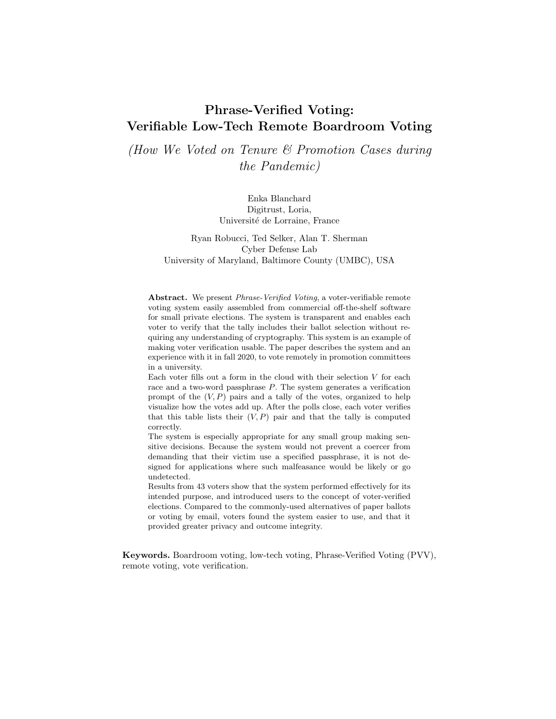# Phrase-Verified Voting: Verifiable Low-Tech Remote Boardroom Voting

(How We Voted on Tenure & Promotion Cases during the Pandemic)

> Enka Blanchard Digitrust, Loria, Université de Lorraine, France

Ryan Robucci, Ted Selker, Alan T. Sherman Cyber Defense Lab University of Maryland, Baltimore County (UMBC), USA

Abstract. We present Phrase-Verified Voting, a voter-verifiable remote voting system easily assembled from commercial off-the-shelf software for small private elections. The system is transparent and enables each voter to verify that the tally includes their ballot selection without requiring any understanding of cryptography. This system is an example of making voter verification usable. The paper describes the system and an experience with it in fall 2020, to vote remotely in promotion committees in a university.

Each voter fills out a form in the cloud with their selection  $V$  for each race and a two-word passphrase P. The system generates a verification prompt of the  $(V, P)$  pairs and a tally of the votes, organized to help visualize how the votes add up. After the polls close, each voter verifies that this table lists their  $(V, P)$  pair and that the tally is computed correctly.

The system is especially appropriate for any small group making sensitive decisions. Because the system would not prevent a coercer from demanding that their victim use a specified passphrase, it is not designed for applications where such malfeasance would be likely or go undetected.

Results from 43 voters show that the system performed effectively for its intended purpose, and introduced users to the concept of voter-verified elections. Compared to the commonly-used alternatives of paper ballots or voting by email, voters found the system easier to use, and that it provided greater privacy and outcome integrity.

Keywords. Boardroom voting, low-tech voting, Phrase-Verified Voting (PVV), remote voting, vote verification.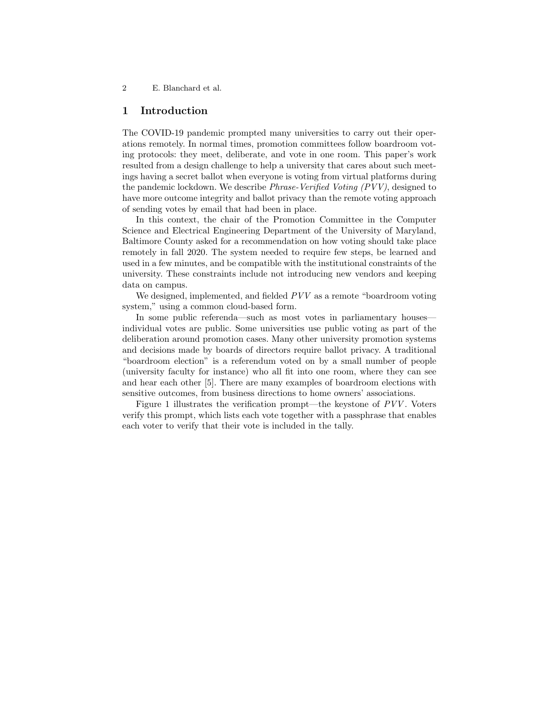## 1 Introduction

The COVID-19 pandemic prompted many universities to carry out their operations remotely. In normal times, promotion committees follow boardroom voting protocols: they meet, deliberate, and vote in one room. This paper's work resulted from a design challenge to help a university that cares about such meetings having a secret ballot when everyone is voting from virtual platforms during the pandemic lockdown. We describe Phrase-Verified Voting (PVV), designed to have more outcome integrity and ballot privacy than the remote voting approach of sending votes by email that had been in place.

In this context, the chair of the Promotion Committee in the Computer Science and Electrical Engineering Department of the University of Maryland, Baltimore County asked for a recommendation on how voting should take place remotely in fall 2020. The system needed to require few steps, be learned and used in a few minutes, and be compatible with the institutional constraints of the university. These constraints include not introducing new vendors and keeping data on campus.

We designed, implemented, and fielded  $PVV$  as a remote "boardroom voting" system," using a common cloud-based form.

In some public referenda—such as most votes in parliamentary houses individual votes are public. Some universities use public voting as part of the deliberation around promotion cases. Many other university promotion systems and decisions made by boards of directors require ballot privacy. A traditional "boardroom election" is a referendum voted on by a small number of people (university faculty for instance) who all fit into one room, where they can see and hear each other [5]. There are many examples of boardroom elections with sensitive outcomes, from business directions to home owners' associations.

Figure 1 illustrates the verification prompt—the keystone of PVV . Voters verify this prompt, which lists each vote together with a passphrase that enables each voter to verify that their vote is included in the tally.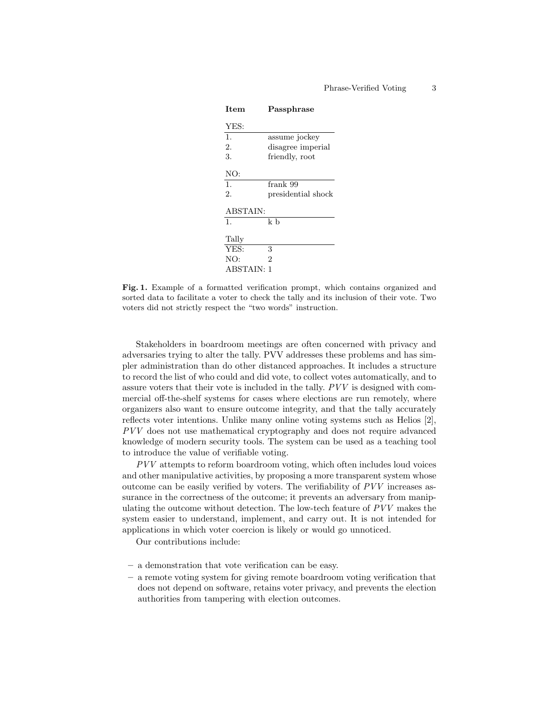| Item              | Passphrase         |  |  |  |
|-------------------|--------------------|--|--|--|
| YES:              |                    |  |  |  |
| $\mathbf{1}$ .    | assume jockey      |  |  |  |
| 2.                | disagree imperial  |  |  |  |
| 3.                | friendly, root     |  |  |  |
| NO:               |                    |  |  |  |
| $\mathbf{1}$ .    | frank 99           |  |  |  |
| 2.                | presidential shock |  |  |  |
| <b>ABSTAIN:</b>   |                    |  |  |  |
| 1.                | k b                |  |  |  |
| Tally             |                    |  |  |  |
| YES:              | 3                  |  |  |  |
| NO:               | 2                  |  |  |  |
| <b>ABSTAIN: 1</b> |                    |  |  |  |

Fig. 1. Example of a formatted verification prompt, which contains organized and sorted data to facilitate a voter to check the tally and its inclusion of their vote. Two voters did not strictly respect the "two words" instruction.

Stakeholders in boardroom meetings are often concerned with privacy and adversaries trying to alter the tally. PVV addresses these problems and has simpler administration than do other distanced approaches. It includes a structure to record the list of who could and did vote, to collect votes automatically, and to assure voters that their vote is included in the tally. PVV is designed with commercial off-the-shelf systems for cases where elections are run remotely, where organizers also want to ensure outcome integrity, and that the tally accurately reflects voter intentions. Unlike many online voting systems such as Helios [2], PVV does not use mathematical cryptography and does not require advanced knowledge of modern security tools. The system can be used as a teaching tool to introduce the value of verifiable voting.

PVV attempts to reform boardroom voting, which often includes loud voices and other manipulative activities, by proposing a more transparent system whose outcome can be easily verified by voters. The verifiability of  $PVV$  increases assurance in the correctness of the outcome; it prevents an adversary from manipulating the outcome without detection. The low-tech feature of PVV makes the system easier to understand, implement, and carry out. It is not intended for applications in which voter coercion is likely or would go unnoticed.

Our contributions include:

- a demonstration that vote verification can be easy.
- a remote voting system for giving remote boardroom voting verification that does not depend on software, retains voter privacy, and prevents the election authorities from tampering with election outcomes.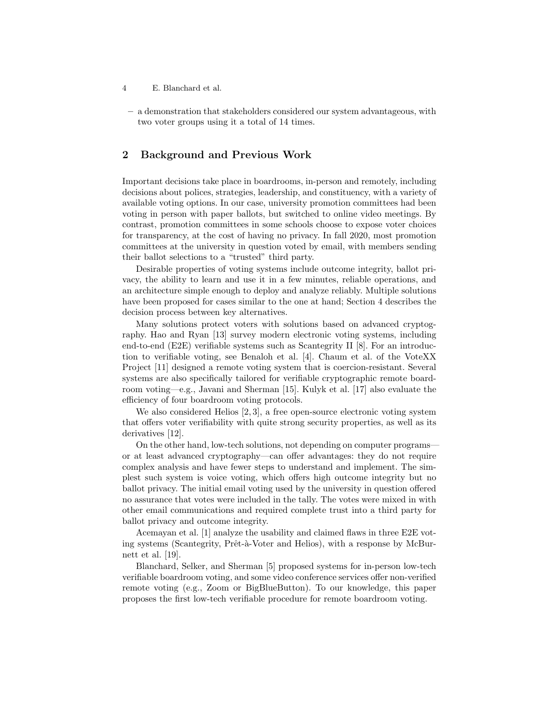- 4 E. Blanchard et al.
- a demonstration that stakeholders considered our system advantageous, with two voter groups using it a total of 14 times.

# 2 Background and Previous Work

Important decisions take place in boardrooms, in-person and remotely, including decisions about polices, strategies, leadership, and constituency, with a variety of available voting options. In our case, university promotion committees had been voting in person with paper ballots, but switched to online video meetings. By contrast, promotion committees in some schools choose to expose voter choices for transparency, at the cost of having no privacy. In fall 2020, most promotion committees at the university in question voted by email, with members sending their ballot selections to a "trusted" third party.

Desirable properties of voting systems include outcome integrity, ballot privacy, the ability to learn and use it in a few minutes, reliable operations, and an architecture simple enough to deploy and analyze reliably. Multiple solutions have been proposed for cases similar to the one at hand; Section 4 describes the decision process between key alternatives.

Many solutions protect voters with solutions based on advanced cryptography. Hao and Ryan [13] survey modern electronic voting systems, including end-to-end  $(E2E)$  verifiable systems such as Scantegrity II [8]. For an introduction to verifiable voting, see Benaloh et al. [4]. Chaum et al. of the VoteXX Project [11] designed a remote voting system that is coercion-resistant. Several systems are also specifically tailored for verifiable cryptographic remote boardroom voting—e.g., Javani and Sherman [15]. Kulyk et al. [17] also evaluate the efficiency of four boardroom voting protocols.

We also considered Helios [2, 3], a free open-source electronic voting system that offers voter verifiability with quite strong security properties, as well as its derivatives [12].

On the other hand, low-tech solutions, not depending on computer programs or at least advanced cryptography—can offer advantages: they do not require complex analysis and have fewer steps to understand and implement. The simplest such system is voice voting, which offers high outcome integrity but no ballot privacy. The initial email voting used by the university in question offered no assurance that votes were included in the tally. The votes were mixed in with other email communications and required complete trust into a third party for ballot privacy and outcome integrity.

Acemayan et al. [1] analyze the usability and claimed flaws in three E2E voting systems (Scantegrity, Prêt-à-Voter and Helios), with a response by McBurnett et al. [19].

Blanchard, Selker, and Sherman [5] proposed systems for in-person low-tech verifiable boardroom voting, and some video conference services offer non-verified remote voting (e.g., Zoom or BigBlueButton). To our knowledge, this paper proposes the first low-tech verifiable procedure for remote boardroom voting.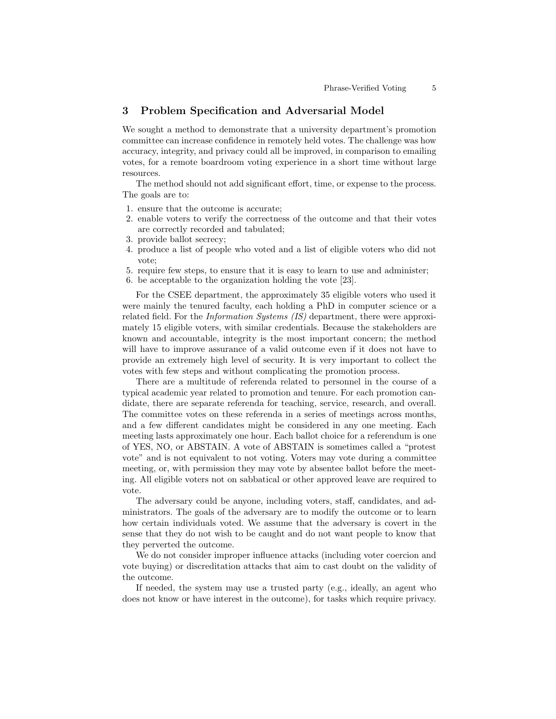# 3 Problem Specification and Adversarial Model

We sought a method to demonstrate that a university department's promotion committee can increase confidence in remotely held votes. The challenge was how accuracy, integrity, and privacy could all be improved, in comparison to emailing votes, for a remote boardroom voting experience in a short time without large resources.

The method should not add significant effort, time, or expense to the process. The goals are to:

- 1. ensure that the outcome is accurate;
- 2. enable voters to verify the correctness of the outcome and that their votes are correctly recorded and tabulated;
- 3. provide ballot secrecy;
- 4. produce a list of people who voted and a list of eligible voters who did not vote;
- 5. require few steps, to ensure that it is easy to learn to use and administer;
- 6. be acceptable to the organization holding the vote [23].

For the CSEE department, the approximately 35 eligible voters who used it were mainly the tenured faculty, each holding a PhD in computer science or a related field. For the Information Systems (IS) department, there were approximately 15 eligible voters, with similar credentials. Because the stakeholders are known and accountable, integrity is the most important concern; the method will have to improve assurance of a valid outcome even if it does not have to provide an extremely high level of security. It is very important to collect the votes with few steps and without complicating the promotion process.

There are a multitude of referenda related to personnel in the course of a typical academic year related to promotion and tenure. For each promotion candidate, there are separate referenda for teaching, service, research, and overall. The committee votes on these referenda in a series of meetings across months, and a few different candidates might be considered in any one meeting. Each meeting lasts approximately one hour. Each ballot choice for a referendum is one of YES, NO, or ABSTAIN. A vote of ABSTAIN is sometimes called a "protest vote" and is not equivalent to not voting. Voters may vote during a committee meeting, or, with permission they may vote by absentee ballot before the meeting. All eligible voters not on sabbatical or other approved leave are required to vote.

The adversary could be anyone, including voters, staff, candidates, and administrators. The goals of the adversary are to modify the outcome or to learn how certain individuals voted. We assume that the adversary is covert in the sense that they do not wish to be caught and do not want people to know that they perverted the outcome.

We do not consider improper influence attacks (including voter coercion and vote buying) or discreditation attacks that aim to cast doubt on the validity of the outcome.

If needed, the system may use a trusted party (e.g., ideally, an agent who does not know or have interest in the outcome), for tasks which require privacy.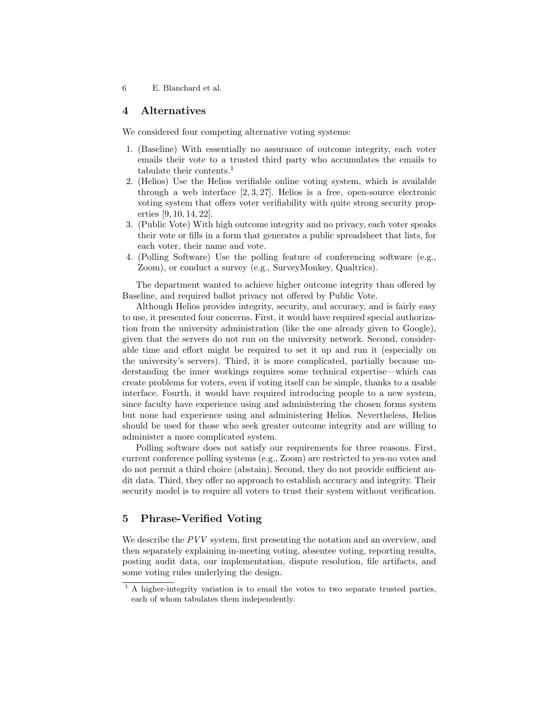# 4 Alternatives

We considered four competing alternative voting systems:

- 1. (Baseline) With essentially no assurance of outcome integrity, each voter emails their vote to a trusted third party who accumulates the emails to tabulate their contents.<sup>1</sup>
- 2. (Helios) Use the Helios verifiable online voting system, which is available through a web interface  $[2, 3, 27]$ . Helios is a free, open-source electronic voting system that offers voter verifiability with quite strong security properties [9, 10, 14, 22].
- 3. (Public Vote) With high outcome integrity and no privacy, each voter speaks their vote or fills in a form that generates a public spreadsheet that lists, for each voter, their name and vote.
- 4. (Polling Software) Use the polling feature of conferencing software (e.g., Zoom), or conduct a survey (e.g., SurveyMonkey, Qualtrics).

The department wanted to achieve higher outcome integrity than offered by Baseline, and required ballot privacy not offered by Public Vote.

Although Helios provides integrity, security, and accuracy, and is fairly easy to use, it presented four concerns. First, it would have required special authorization from the university administration (like the one already given to Google), given that the servers do not run on the university network. Second, considerable time and effort might be required to set it up and run it (especially on the university's servers). Third, it is more complicated, partially because understanding the inner workings requires some technical expertise—which can create problems for voters, even if voting itself can be simple, thanks to a usable interface. Fourth, it would have required introducing people to a new system, since faculty have experience using and administering the chosen forms system but none had experience using and administering Helios. Nevertheless, Helios should be used for those who seek greater outcome integrity and are willing to administer a more complicated system.

Polling software does not satisfy our requirements for three reasons. First, current conference polling systems (e.g., Zoom) are restricted to yes-no votes and do not permit a third choice (abstain). Second, they do not provide sufficient audit data. Third, they offer no approach to establish accuracy and integrity. Their security model is to require all voters to trust their system without verification.

# 5 Phrase-Verified Voting

We describe the PVV system, first presenting the notation and an overview, and then separately explaining in-meeting voting, absentee voting, reporting results, posting audit data, our implementation, dispute resolution, file artifacts, and some voting rules underlying the design.

 $<sup>1</sup>$  A higher-integrity variation is to email the votes to two separate trusted parties,</sup> each of whom tabulates them independently.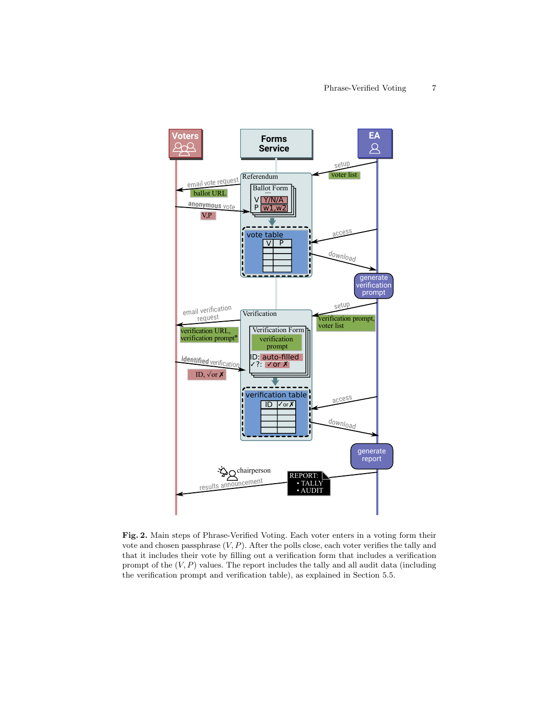

Fig. 2. Main steps of Phrase-Verified Voting. Each voter enters in a voting form their vote and chosen passphrase  $(V, P)$ . After the polls close, each voter verifies the tally and that it includes their vote by filling out a verification form that includes a verification prompt of the  $(V, P)$  values. The report includes the tally and all audit data (including the verification prompt and verification table), as explained in Section 5.5.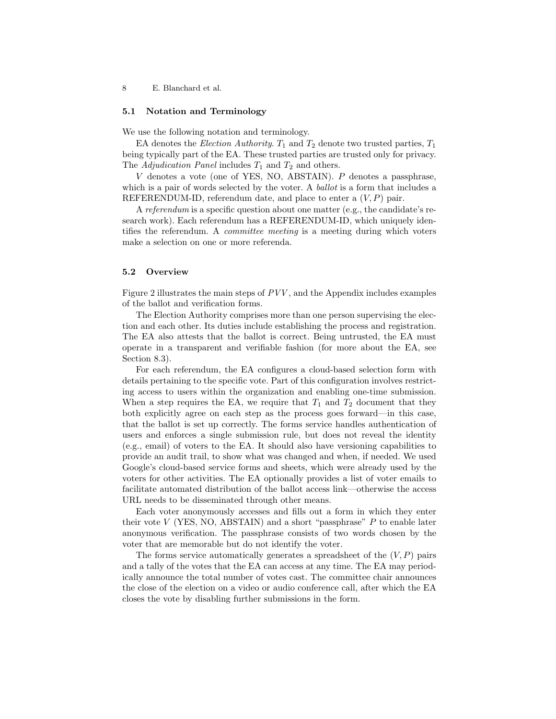#### 5.1 Notation and Terminology

We use the following notation and terminology.

EA denotes the *Election Authority*.  $T_1$  and  $T_2$  denote two trusted parties,  $T_1$ being typically part of the EA. These trusted parties are trusted only for privacy. The Adjudication Panel includes  $T_1$  and  $T_2$  and others.

V denotes a vote (one of YES, NO, ABSTAIN). P denotes a passphrase, which is a pair of words selected by the voter. A *ballot* is a form that includes a REFERENDUM-ID, referendum date, and place to enter a  $(V, P)$  pair.

A referendum is a specific question about one matter (e.g., the candidate's research work). Each referendum has a REFERENDUM-ID, which uniquely identifies the referendum. A *committee meeting* is a meeting during which voters make a selection on one or more referenda.

#### 5.2 Overview

Figure 2 illustrates the main steps of PVV , and the Appendix includes examples of the ballot and verification forms.

The Election Authority comprises more than one person supervising the election and each other. Its duties include establishing the process and registration. The EA also attests that the ballot is correct. Being untrusted, the EA must operate in a transparent and verifiable fashion (for more about the EA, see Section 8.3).

For each referendum, the EA configures a cloud-based selection form with details pertaining to the specific vote. Part of this configuration involves restricting access to users within the organization and enabling one-time submission. When a step requires the EA, we require that  $T_1$  and  $T_2$  document that they both explicitly agree on each step as the process goes forward—in this case, that the ballot is set up correctly. The forms service handles authentication of users and enforces a single submission rule, but does not reveal the identity (e.g., email) of voters to the EA. It should also have versioning capabilities to provide an audit trail, to show what was changed and when, if needed. We used Google's cloud-based service forms and sheets, which were already used by the voters for other activities. The EA optionally provides a list of voter emails to facilitate automated distribution of the ballot access link—otherwise the access URL needs to be disseminated through other means.

Each voter anonymously accesses and fills out a form in which they enter their vote  $V$  (YES, NO, ABSTAIN) and a short "passphrase"  $P$  to enable later anonymous verification. The passphrase consists of two words chosen by the voter that are memorable but do not identify the voter.

The forms service automatically generates a spreadsheet of the  $(V, P)$  pairs and a tally of the votes that the EA can access at any time. The EA may periodically announce the total number of votes cast. The committee chair announces the close of the election on a video or audio conference call, after which the EA closes the vote by disabling further submissions in the form.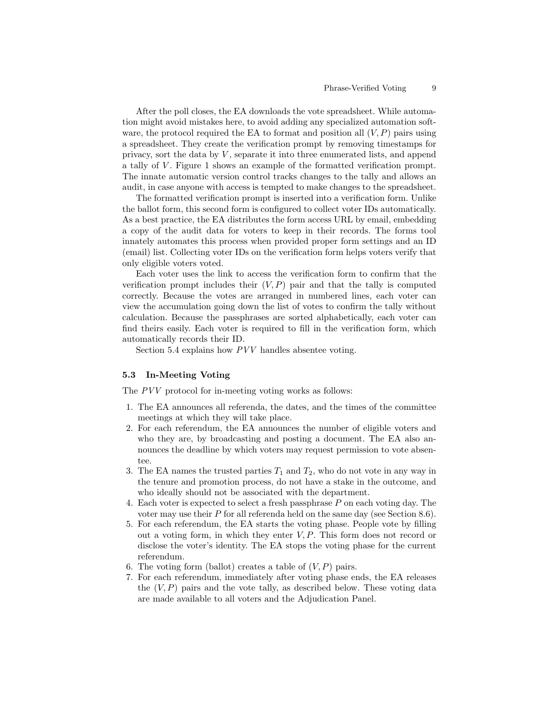After the poll closes, the EA downloads the vote spreadsheet. While automation might avoid mistakes here, to avoid adding any specialized automation software, the protocol required the EA to format and position all  $(V, P)$  pairs using a spreadsheet. They create the verification prompt by removing timestamps for privacy, sort the data by  $V$ , separate it into three enumerated lists, and append a tally of V. Figure 1 shows an example of the formatted verification prompt. The innate automatic version control tracks changes to the tally and allows an audit, in case anyone with access is tempted to make changes to the spreadsheet.

The formatted verification prompt is inserted into a verification form. Unlike the ballot form, this second form is configured to collect voter IDs automatically. As a best practice, the EA distributes the form access URL by email, embedding a copy of the audit data for voters to keep in their records. The forms tool innately automates this process when provided proper form settings and an ID (email) list. Collecting voter IDs on the verification form helps voters verify that only eligible voters voted.

Each voter uses the link to access the verification form to confirm that the verification prompt includes their  $(V, P)$  pair and that the tally is computed correctly. Because the votes are arranged in numbered lines, each voter can view the accumulation going down the list of votes to confirm the tally without calculation. Because the passphrases are sorted alphabetically, each voter can find theirs easily. Each voter is required to fill in the verification form, which automatically records their ID.

Section 5.4 explains how PVV handles absentee voting.

### 5.3 In-Meeting Voting

The PVV protocol for in-meeting voting works as follows:

- 1. The EA announces all referenda, the dates, and the times of the committee meetings at which they will take place.
- 2. For each referendum, the EA announces the number of eligible voters and who they are, by broadcasting and posting a document. The EA also announces the deadline by which voters may request permission to vote absentee.
- 3. The EA names the trusted parties  $T_1$  and  $T_2$ , who do not vote in any way in the tenure and promotion process, do not have a stake in the outcome, and who ideally should not be associated with the department.
- 4. Each voter is expected to select a fresh passphrase P on each voting day. The voter may use their  $P$  for all referenda held on the same day (see Section 8.6).
- 5. For each referendum, the EA starts the voting phase. People vote by filling out a voting form, in which they enter  $V, P$ . This form does not record or disclose the voter's identity. The EA stops the voting phase for the current referendum.
- 6. The voting form (ballot) creates a table of  $(V, P)$  pairs.
- 7. For each referendum, immediately after voting phase ends, the EA releases the  $(V, P)$  pairs and the vote tally, as described below. These voting data are made available to all voters and the Adjudication Panel.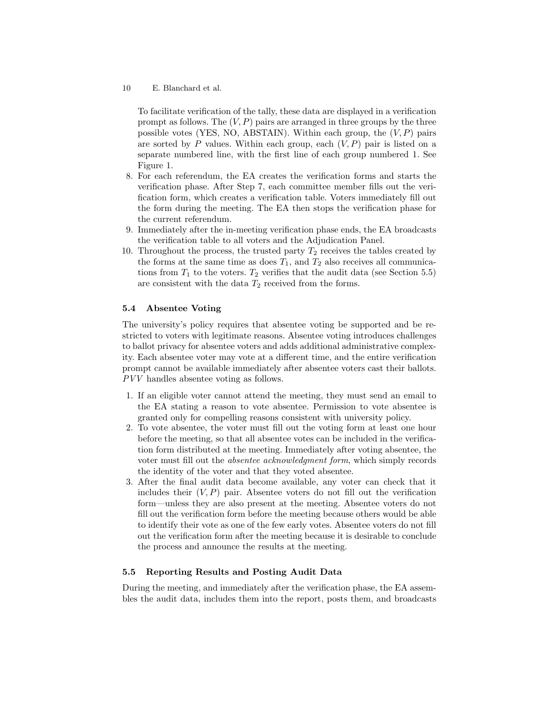To facilitate verification of the tally, these data are displayed in a verification prompt as follows. The  $(V, P)$  pairs are arranged in three groups by the three possible votes (YES, NO, ABSTAIN). Within each group, the  $(V, P)$  pairs are sorted by P values. Within each group, each  $(V, P)$  pair is listed on a separate numbered line, with the first line of each group numbered 1. See Figure 1.

- 8. For each referendum, the EA creates the verification forms and starts the verification phase. After Step 7, each committee member fills out the verification form, which creates a verification table. Voters immediately fill out the form during the meeting. The EA then stops the verification phase for the current referendum.
- 9. Immediately after the in-meeting verification phase ends, the EA broadcasts the verification table to all voters and the Adjudication Panel.
- 10. Throughout the process, the trusted party  $T_2$  receives the tables created by the forms at the same time as does  $T_1$ , and  $T_2$  also receives all communications from  $T_1$  to the voters.  $T_2$  verifies that the audit data (see Section 5.5) are consistent with the data  $T_2$  received from the forms.

## 5.4 Absentee Voting

The university's policy requires that absentee voting be supported and be restricted to voters with legitimate reasons. Absentee voting introduces challenges to ballot privacy for absentee voters and adds additional administrative complexity. Each absentee voter may vote at a different time, and the entire verification prompt cannot be available immediately after absentee voters cast their ballots. PVV handles absentee voting as follows.

- 1. If an eligible voter cannot attend the meeting, they must send an email to the EA stating a reason to vote absentee. Permission to vote absentee is granted only for compelling reasons consistent with university policy.
- 2. To vote absentee, the voter must fill out the voting form at least one hour before the meeting, so that all absentee votes can be included in the verification form distributed at the meeting. Immediately after voting absentee, the voter must fill out the absentee acknowledgment form, which simply records the identity of the voter and that they voted absentee.
- 3. After the final audit data become available, any voter can check that it includes their  $(V, P)$  pair. Absentee voters do not fill out the verification form—unless they are also present at the meeting. Absentee voters do not fill out the verification form before the meeting because others would be able to identify their vote as one of the few early votes. Absentee voters do not fill out the verification form after the meeting because it is desirable to conclude the process and announce the results at the meeting.

#### 5.5 Reporting Results and Posting Audit Data

During the meeting, and immediately after the verification phase, the EA assembles the audit data, includes them into the report, posts them, and broadcasts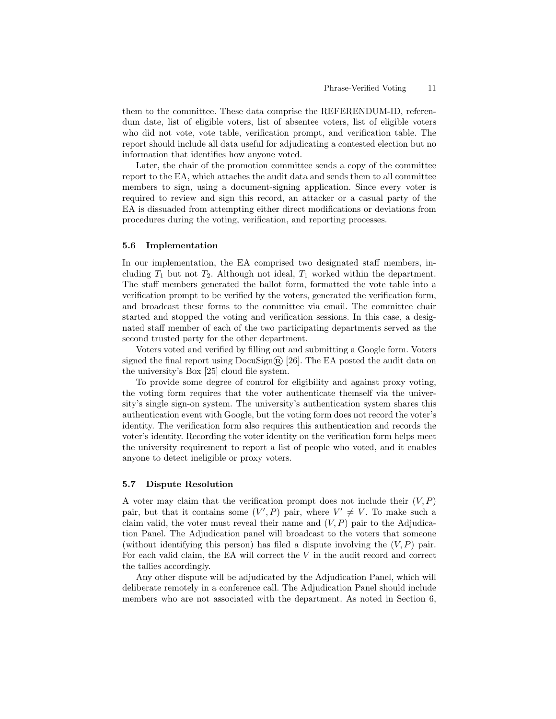them to the committee. These data comprise the REFERENDUM-ID, referendum date, list of eligible voters, list of absentee voters, list of eligible voters who did not vote, vote table, verification prompt, and verification table. The report should include all data useful for adjudicating a contested election but no information that identifies how anyone voted.

Later, the chair of the promotion committee sends a copy of the committee report to the EA, which attaches the audit data and sends them to all committee members to sign, using a document-signing application. Since every voter is required to review and sign this record, an attacker or a casual party of the EA is dissuaded from attempting either direct modifications or deviations from procedures during the voting, verification, and reporting processes.

#### 5.6 Implementation

In our implementation, the EA comprised two designated staff members, including  $T_1$  but not  $T_2$ . Although not ideal,  $T_1$  worked within the department. The staff members generated the ballot form, formatted the vote table into a verification prompt to be verified by the voters, generated the verification form, and broadcast these forms to the committee via email. The committee chair started and stopped the voting and verification sessions. In this case, a designated staff member of each of the two participating departments served as the second trusted party for the other department.

Voters voted and verified by filling out and submitting a Google form. Voters signed the final report using  $\text{D}\text{c}\text{u}\text{S}\text{ign}(\widehat{\mathbb{R}})$  [26]. The EA posted the audit data on the university's Box [25] cloud file system.

To provide some degree of control for eligibility and against proxy voting, the voting form requires that the voter authenticate themself via the university's single sign-on system. The university's authentication system shares this authentication event with Google, but the voting form does not record the voter's identity. The verification form also requires this authentication and records the voter's identity. Recording the voter identity on the verification form helps meet the university requirement to report a list of people who voted, and it enables anyone to detect ineligible or proxy voters.

#### 5.7 Dispute Resolution

A voter may claim that the verification prompt does not include their  $(V, P)$ pair, but that it contains some  $(V', P)$  pair, where  $V' \neq V$ . To make such a claim valid, the voter must reveal their name and  $(V, P)$  pair to the Adjudication Panel. The Adjudication panel will broadcast to the voters that someone (without identifying this person) has filed a dispute involving the  $(V, P)$  pair. For each valid claim, the EA will correct the V in the audit record and correct the tallies accordingly.

Any other dispute will be adjudicated by the Adjudication Panel, which will deliberate remotely in a conference call. The Adjudication Panel should include members who are not associated with the department. As noted in Section 6,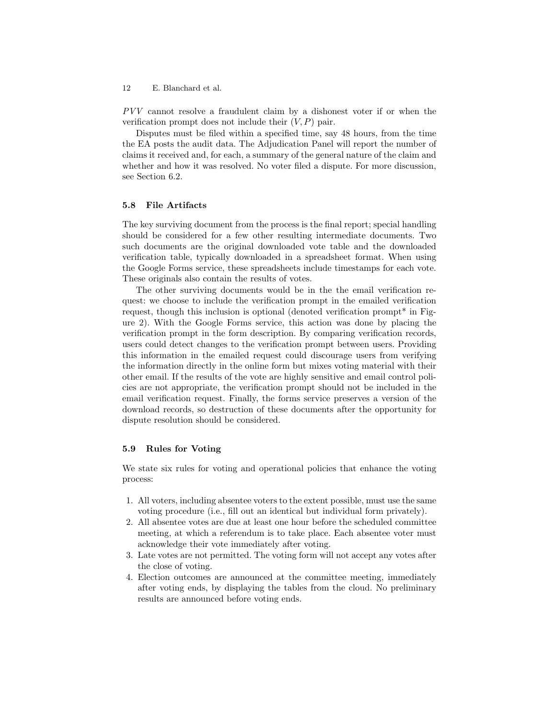PVV cannot resolve a fraudulent claim by a dishonest voter if or when the verification prompt does not include their  $(V, P)$  pair.

Disputes must be filed within a specified time, say 48 hours, from the time the EA posts the audit data. The Adjudication Panel will report the number of claims it received and, for each, a summary of the general nature of the claim and whether and how it was resolved. No voter filed a dispute. For more discussion, see Section 6.2.

## 5.8 File Artifacts

The key surviving document from the process is the final report; special handling should be considered for a few other resulting intermediate documents. Two such documents are the original downloaded vote table and the downloaded verification table, typically downloaded in a spreadsheet format. When using the Google Forms service, these spreadsheets include timestamps for each vote. These originals also contain the results of votes.

The other surviving documents would be in the the email verification request: we choose to include the verification prompt in the emailed verification request, though this inclusion is optional (denoted verification prompt\* in Figure 2). With the Google Forms service, this action was done by placing the verification prompt in the form description. By comparing verification records, users could detect changes to the verification prompt between users. Providing this information in the emailed request could discourage users from verifying the information directly in the online form but mixes voting material with their other email. If the results of the vote are highly sensitive and email control policies are not appropriate, the verification prompt should not be included in the email verification request. Finally, the forms service preserves a version of the download records, so destruction of these documents after the opportunity for dispute resolution should be considered.

#### 5.9 Rules for Voting

We state six rules for voting and operational policies that enhance the voting process:

- 1. All voters, including absentee voters to the extent possible, must use the same voting procedure (i.e., fill out an identical but individual form privately).
- 2. All absentee votes are due at least one hour before the scheduled committee meeting, at which a referendum is to take place. Each absentee voter must acknowledge their vote immediately after voting.
- 3. Late votes are not permitted. The voting form will not accept any votes after the close of voting.
- 4. Election outcomes are announced at the committee meeting, immediately after voting ends, by displaying the tables from the cloud. No preliminary results are announced before voting ends.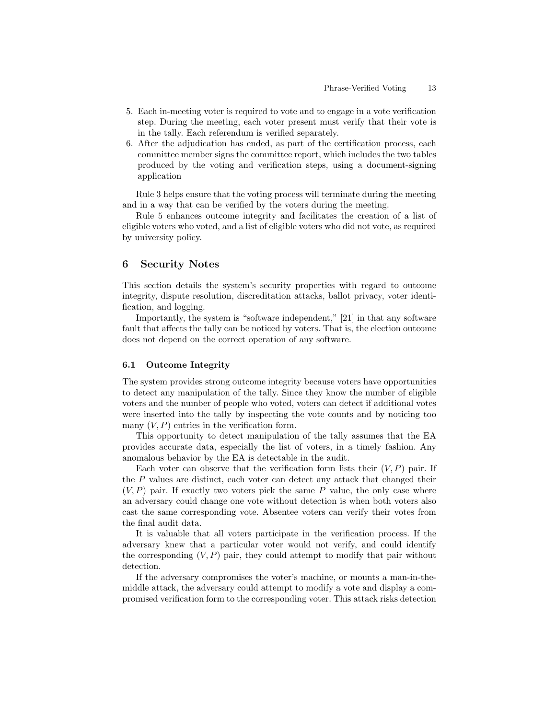- 5. Each in-meeting voter is required to vote and to engage in a vote verification step. During the meeting, each voter present must verify that their vote is in the tally. Each referendum is verified separately.
- 6. After the adjudication has ended, as part of the certification process, each committee member signs the committee report, which includes the two tables produced by the voting and verification steps, using a document-signing application

Rule 3 helps ensure that the voting process will terminate during the meeting and in a way that can be verified by the voters during the meeting.

Rule 5 enhances outcome integrity and facilitates the creation of a list of eligible voters who voted, and a list of eligible voters who did not vote, as required by university policy.

## 6 Security Notes

This section details the system's security properties with regard to outcome integrity, dispute resolution, discreditation attacks, ballot privacy, voter identification, and logging.

Importantly, the system is "software independent," [21] in that any software fault that affects the tally can be noticed by voters. That is, the election outcome does not depend on the correct operation of any software.

### 6.1 Outcome Integrity

The system provides strong outcome integrity because voters have opportunities to detect any manipulation of the tally. Since they know the number of eligible voters and the number of people who voted, voters can detect if additional votes were inserted into the tally by inspecting the vote counts and by noticing too many  $(V, P)$  entries in the verification form.

This opportunity to detect manipulation of the tally assumes that the EA provides accurate data, especially the list of voters, in a timely fashion. Any anomalous behavior by the EA is detectable in the audit.

Each voter can observe that the verification form lists their  $(V, P)$  pair. If the P values are distinct, each voter can detect any attack that changed their  $(V, P)$  pair. If exactly two voters pick the same P value, the only case where an adversary could change one vote without detection is when both voters also cast the same corresponding vote. Absentee voters can verify their votes from the final audit data.

It is valuable that all voters participate in the verification process. If the adversary knew that a particular voter would not verify, and could identify the corresponding  $(V, P)$  pair, they could attempt to modify that pair without detection.

If the adversary compromises the voter's machine, or mounts a man-in-themiddle attack, the adversary could attempt to modify a vote and display a compromised verification form to the corresponding voter. This attack risks detection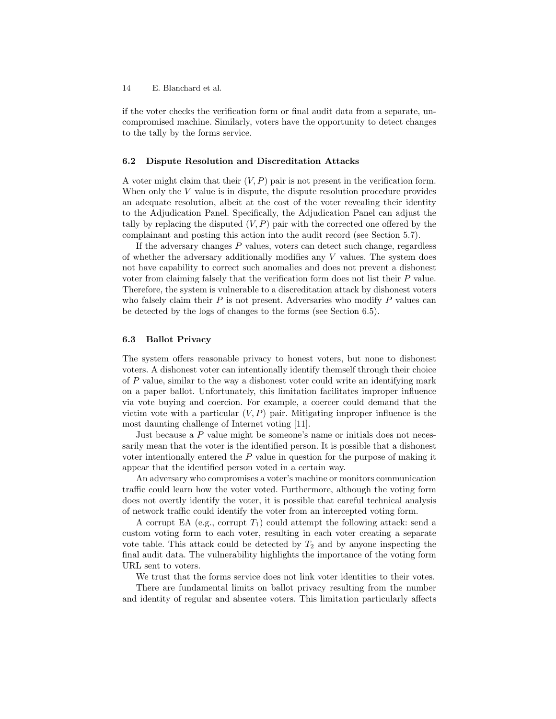if the voter checks the verification form or final audit data from a separate, uncompromised machine. Similarly, voters have the opportunity to detect changes to the tally by the forms service.

#### 6.2 Dispute Resolution and Discreditation Attacks

A voter might claim that their  $(V, P)$  pair is not present in the verification form. When only the V value is in dispute, the dispute resolution procedure provides an adequate resolution, albeit at the cost of the voter revealing their identity to the Adjudication Panel. Specifically, the Adjudication Panel can adjust the tally by replacing the disputed  $(V, P)$  pair with the corrected one offered by the complainant and posting this action into the audit record (see Section 5.7).

If the adversary changes  $P$  values, voters can detect such change, regardless of whether the adversary additionally modifies any V values. The system does not have capability to correct such anomalies and does not prevent a dishonest voter from claiming falsely that the verification form does not list their P value. Therefore, the system is vulnerable to a discreditation attack by dishonest voters who falsely claim their  $P$  is not present. Adversaries who modify  $P$  values can be detected by the logs of changes to the forms (see Section 6.5).

### 6.3 Ballot Privacy

The system offers reasonable privacy to honest voters, but none to dishonest voters. A dishonest voter can intentionally identify themself through their choice of P value, similar to the way a dishonest voter could write an identifying mark on a paper ballot. Unfortunately, this limitation facilitates improper influence via vote buying and coercion. For example, a coercer could demand that the victim vote with a particular  $(V, P)$  pair. Mitigating improper influence is the most daunting challenge of Internet voting [11].

Just because a P value might be someone's name or initials does not necessarily mean that the voter is the identified person. It is possible that a dishonest voter intentionally entered the P value in question for the purpose of making it appear that the identified person voted in a certain way.

An adversary who compromises a voter's machine or monitors communication traffic could learn how the voter voted. Furthermore, although the voting form does not overtly identify the voter, it is possible that careful technical analysis of network traffic could identify the voter from an intercepted voting form.

A corrupt EA (e.g., corrupt  $T_1$ ) could attempt the following attack: send a custom voting form to each voter, resulting in each voter creating a separate vote table. This attack could be detected by  $T_2$  and by anyone inspecting the final audit data. The vulnerability highlights the importance of the voting form URL sent to voters.

We trust that the forms service does not link voter identities to their votes.

There are fundamental limits on ballot privacy resulting from the number and identity of regular and absentee voters. This limitation particularly affects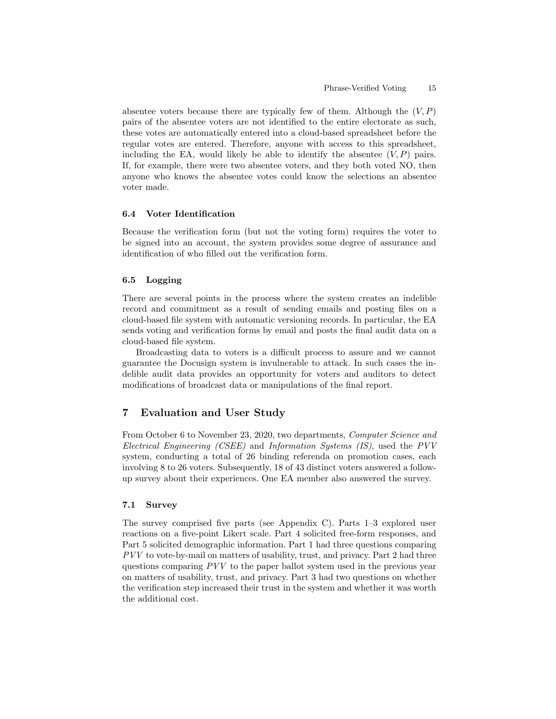absentee voters because there are typically few of them. Although the  $(V, P)$ pairs of the absentee voters are not identified to the entire electorate as such, these votes are automatically entered into a cloud-based spreadsheet before the regular votes are entered. Therefore, anyone with access to this spreadsheet, including the EA, would likely be able to identify the absentee  $(V, P)$  pairs. If, for example, there were two absentee voters, and they both voted NO, then anyone who knows the absentee votes could know the selections an absentee voter made.

# 6.4 Voter Identification

Because the verification form (but not the voting form) requires the voter to be signed into an account, the system provides some degree of assurance and identification of who filled out the verification form.

## 6.5 Logging

There are several points in the process where the system creates an indelible record and commitment as a result of sending emails and posting files on a cloud-based file system with automatic versioning records. In particular, the EA sends voting and verification forms by email and posts the final audit data on a cloud-based file system.

Broadcasting data to voters is a difficult process to assure and we cannot guarantee the Docusign system is invulnerable to attack. In such cases the indelible audit data provides an opportunity for voters and auditors to detect modifications of broadcast data or manipulations of the final report.

# 7 Evaluation and User Study

From October 6 to November 23, 2020, two departments, Computer Science and Electrical Engineering (CSEE) and Information Systems (IS), used the PVV system, conducting a total of 26 binding referenda on promotion cases, each involving 8 to 26 voters. Subsequently, 18 of 43 distinct voters answered a followup survey about their experiences. One EA member also answered the survey.

#### 7.1 Survey

The survey comprised five parts (see Appendix C). Parts 1–3 explored user reactions on a five-point Likert scale. Part 4 solicited free-form responses, and Part 5 solicited demographic information. Part 1 had three questions comparing PVV to vote-by-mail on matters of usability, trust, and privacy. Part 2 had three questions comparing PVV to the paper ballot system used in the previous year on matters of usability, trust, and privacy. Part 3 had two questions on whether the verification step increased their trust in the system and whether it was worth the additional cost.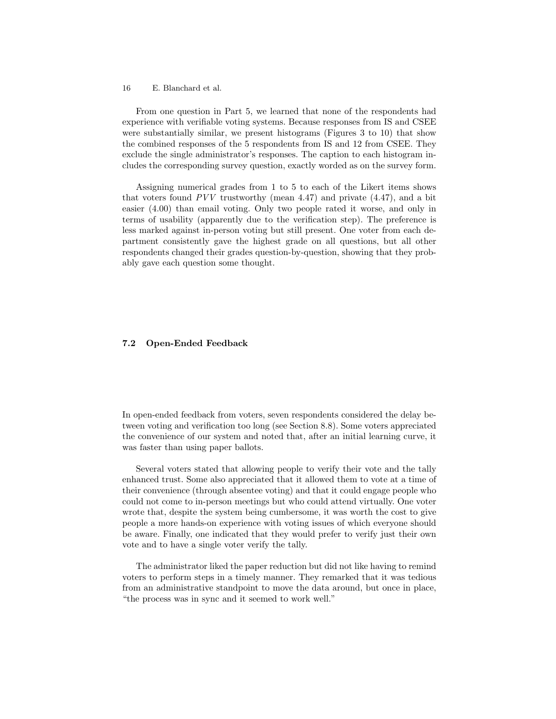From one question in Part 5, we learned that none of the respondents had experience with verifiable voting systems. Because responses from IS and CSEE were substantially similar, we present histograms (Figures 3 to 10) that show the combined responses of the 5 respondents from IS and 12 from CSEE. They exclude the single administrator's responses. The caption to each histogram includes the corresponding survey question, exactly worded as on the survey form.

Assigning numerical grades from 1 to 5 to each of the Likert items shows that voters found  $PVV$  trustworthy (mean 4.47) and private  $(4.47)$ , and a bit easier (4.00) than email voting. Only two people rated it worse, and only in terms of usability (apparently due to the verification step). The preference is less marked against in-person voting but still present. One voter from each department consistently gave the highest grade on all questions, but all other respondents changed their grades question-by-question, showing that they probably gave each question some thought.

### 7.2 Open-Ended Feedback

In open-ended feedback from voters, seven respondents considered the delay between voting and verification too long (see Section 8.8). Some voters appreciated the convenience of our system and noted that, after an initial learning curve, it was faster than using paper ballots.

Several voters stated that allowing people to verify their vote and the tally enhanced trust. Some also appreciated that it allowed them to vote at a time of their convenience (through absentee voting) and that it could engage people who could not come to in-person meetings but who could attend virtually. One voter wrote that, despite the system being cumbersome, it was worth the cost to give people a more hands-on experience with voting issues of which everyone should be aware. Finally, one indicated that they would prefer to verify just their own vote and to have a single voter verify the tally.

The administrator liked the paper reduction but did not like having to remind voters to perform steps in a timely manner. They remarked that it was tedious from an administrative standpoint to move the data around, but once in place, "the process was in sync and it seemed to work well."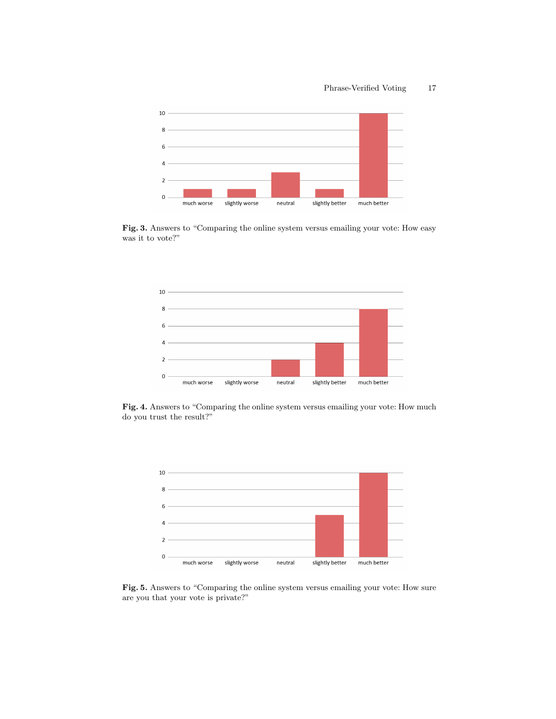#### Phrase-Verified Voting 17



Fig. 3. Answers to "Comparing the online system versus emailing your vote: How easy was it to vote?"



Fig. 4. Answers to "Comparing the online system versus emailing your vote: How much do you trust the result?"



Fig. 5. Answers to "Comparing the online system versus emailing your vote: How sure are you that your vote is private?"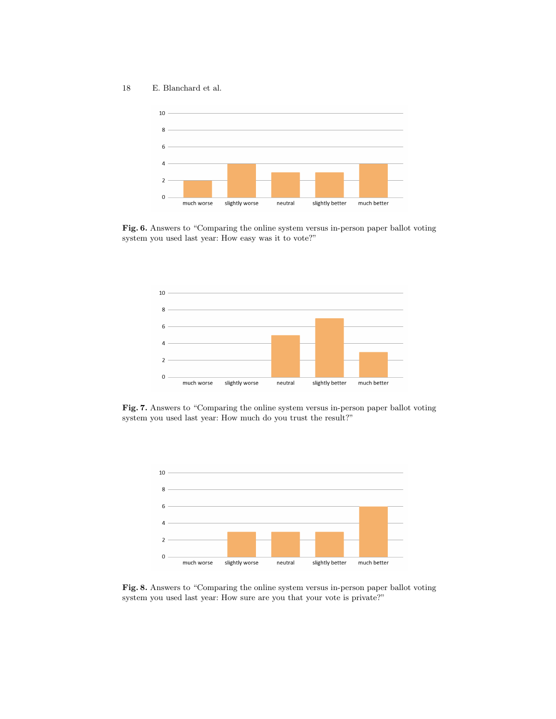18 E. Blanchard et al.



Fig. 6. Answers to "Comparing the online system versus in-person paper ballot voting system you used last year: How easy was it to vote?"



Fig. 7. Answers to "Comparing the online system versus in-person paper ballot voting system you used last year: How much do you trust the result?"



Fig. 8. Answers to "Comparing the online system versus in-person paper ballot voting system you used last year: How sure are you that your vote is private?"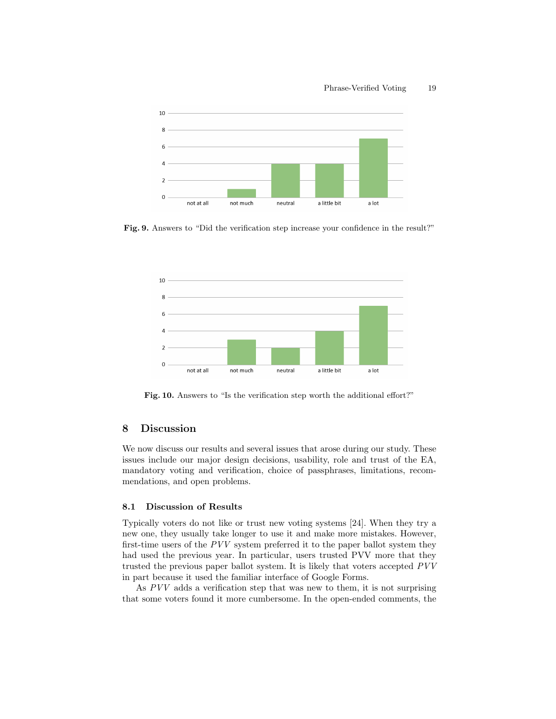

Fig. 9. Answers to "Did the verification step increase your confidence in the result?"



Fig. 10. Answers to "Is the verification step worth the additional effort?"

## 8 Discussion

We now discuss our results and several issues that arose during our study. These issues include our major design decisions, usability, role and trust of the EA, mandatory voting and verification, choice of passphrases, limitations, recommendations, and open problems.

## 8.1 Discussion of Results

Typically voters do not like or trust new voting systems [24]. When they try a new one, they usually take longer to use it and make more mistakes. However, first-time users of the PVV system preferred it to the paper ballot system they had used the previous year. In particular, users trusted PVV more that they trusted the previous paper ballot system. It is likely that voters accepted PVV in part because it used the familiar interface of Google Forms.

As PVV adds a verification step that was new to them, it is not surprising that some voters found it more cumbersome. In the open-ended comments, the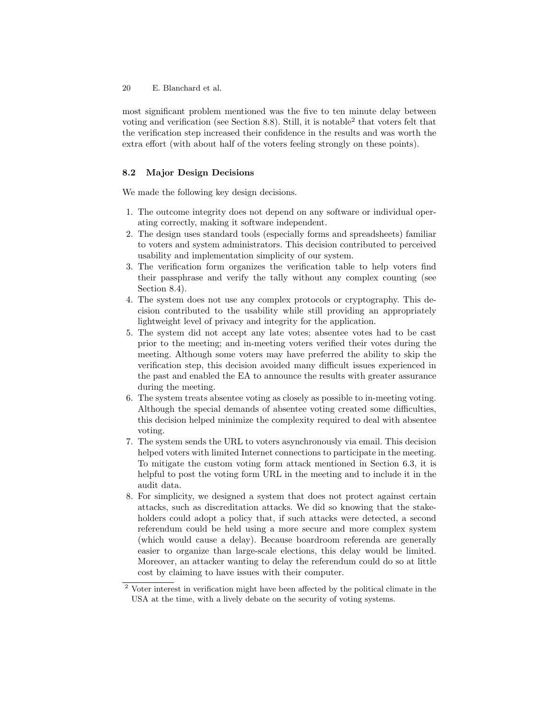most significant problem mentioned was the five to ten minute delay between voting and verification (see Section 8.8). Still, it is notable<sup>2</sup> that voters felt that the verification step increased their confidence in the results and was worth the extra effort (with about half of the voters feeling strongly on these points).

## 8.2 Major Design Decisions

We made the following key design decisions.

- 1. The outcome integrity does not depend on any software or individual operating correctly, making it software independent.
- 2. The design uses standard tools (especially forms and spreadsheets) familiar to voters and system administrators. This decision contributed to perceived usability and implementation simplicity of our system.
- 3. The verification form organizes the verification table to help voters find their passphrase and verify the tally without any complex counting (see Section 8.4).
- 4. The system does not use any complex protocols or cryptography. This decision contributed to the usability while still providing an appropriately lightweight level of privacy and integrity for the application.
- 5. The system did not accept any late votes; absentee votes had to be cast prior to the meeting; and in-meeting voters verified their votes during the meeting. Although some voters may have preferred the ability to skip the verification step, this decision avoided many difficult issues experienced in the past and enabled the EA to announce the results with greater assurance during the meeting.
- 6. The system treats absentee voting as closely as possible to in-meeting voting. Although the special demands of absentee voting created some difficulties, this decision helped minimize the complexity required to deal with absentee voting.
- 7. The system sends the URL to voters asynchronously via email. This decision helped voters with limited Internet connections to participate in the meeting. To mitigate the custom voting form attack mentioned in Section 6.3, it is helpful to post the voting form URL in the meeting and to include it in the audit data.
- 8. For simplicity, we designed a system that does not protect against certain attacks, such as discreditation attacks. We did so knowing that the stakeholders could adopt a policy that, if such attacks were detected, a second referendum could be held using a more secure and more complex system (which would cause a delay). Because boardroom referenda are generally easier to organize than large-scale elections, this delay would be limited. Moreover, an attacker wanting to delay the referendum could do so at little cost by claiming to have issues with their computer.

<sup>&</sup>lt;sup>2</sup> Voter interest in verification might have been affected by the political climate in the USA at the time, with a lively debate on the security of voting systems.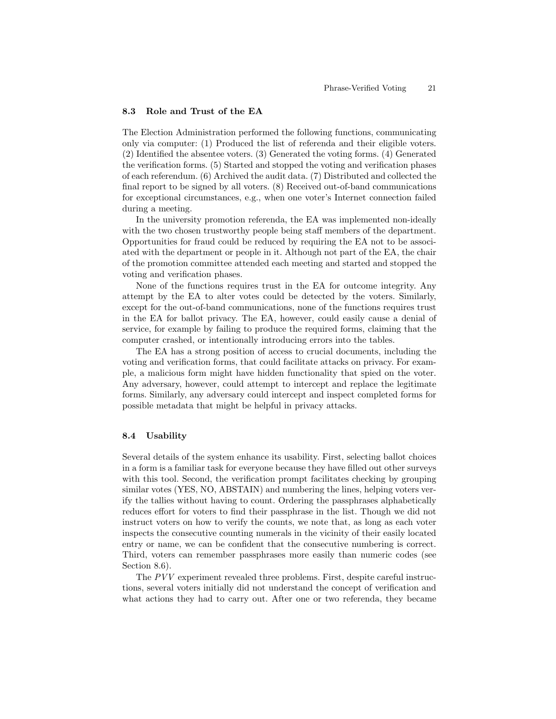### 8.3 Role and Trust of the EA

The Election Administration performed the following functions, communicating only via computer: (1) Produced the list of referenda and their eligible voters. (2) Identified the absentee voters. (3) Generated the voting forms. (4) Generated the verification forms. (5) Started and stopped the voting and verification phases of each referendum. (6) Archived the audit data. (7) Distributed and collected the final report to be signed by all voters. (8) Received out-of-band communications for exceptional circumstances, e.g., when one voter's Internet connection failed during a meeting.

In the university promotion referenda, the EA was implemented non-ideally with the two chosen trustworthy people being staff members of the department. Opportunities for fraud could be reduced by requiring the EA not to be associated with the department or people in it. Although not part of the EA, the chair of the promotion committee attended each meeting and started and stopped the voting and verification phases.

None of the functions requires trust in the EA for outcome integrity. Any attempt by the EA to alter votes could be detected by the voters. Similarly, except for the out-of-band communications, none of the functions requires trust in the EA for ballot privacy. The EA, however, could easily cause a denial of service, for example by failing to produce the required forms, claiming that the computer crashed, or intentionally introducing errors into the tables.

The EA has a strong position of access to crucial documents, including the voting and verification forms, that could facilitate attacks on privacy. For example, a malicious form might have hidden functionality that spied on the voter. Any adversary, however, could attempt to intercept and replace the legitimate forms. Similarly, any adversary could intercept and inspect completed forms for possible metadata that might be helpful in privacy attacks.

#### 8.4 Usability

Several details of the system enhance its usability. First, selecting ballot choices in a form is a familiar task for everyone because they have filled out other surveys with this tool. Second, the verification prompt facilitates checking by grouping similar votes (YES, NO, ABSTAIN) and numbering the lines, helping voters verify the tallies without having to count. Ordering the passphrases alphabetically reduces effort for voters to find their passphrase in the list. Though we did not instruct voters on how to verify the counts, we note that, as long as each voter inspects the consecutive counting numerals in the vicinity of their easily located entry or name, we can be confident that the consecutive numbering is correct. Third, voters can remember passphrases more easily than numeric codes (see Section 8.6).

The PVV experiment revealed three problems. First, despite careful instructions, several voters initially did not understand the concept of verification and what actions they had to carry out. After one or two referenda, they became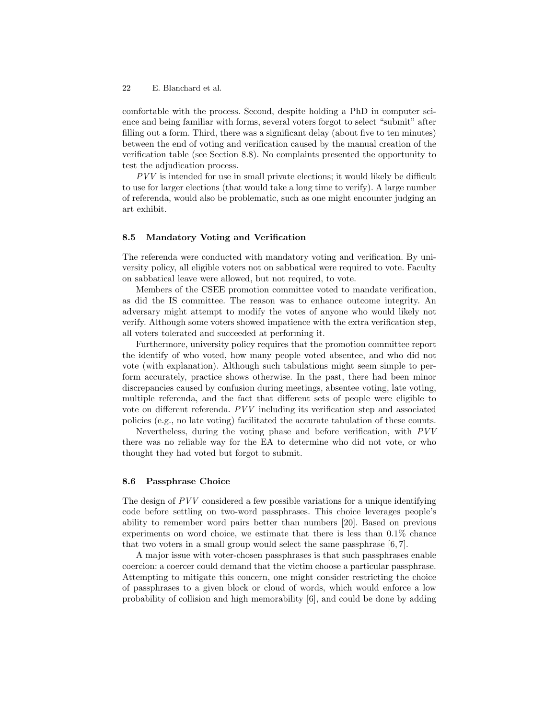comfortable with the process. Second, despite holding a PhD in computer science and being familiar with forms, several voters forgot to select "submit" after filling out a form. Third, there was a significant delay (about five to ten minutes) between the end of voting and verification caused by the manual creation of the verification table (see Section 8.8). No complaints presented the opportunity to test the adjudication process.

PVV is intended for use in small private elections; it would likely be difficult to use for larger elections (that would take a long time to verify). A large number of referenda, would also be problematic, such as one might encounter judging an art exhibit.

### 8.5 Mandatory Voting and Verification

The referenda were conducted with mandatory voting and verification. By university policy, all eligible voters not on sabbatical were required to vote. Faculty on sabbatical leave were allowed, but not required, to vote.

Members of the CSEE promotion committee voted to mandate verification, as did the IS committee. The reason was to enhance outcome integrity. An adversary might attempt to modify the votes of anyone who would likely not verify. Although some voters showed impatience with the extra verification step, all voters tolerated and succeeded at performing it.

Furthermore, university policy requires that the promotion committee report the identify of who voted, how many people voted absentee, and who did not vote (with explanation). Although such tabulations might seem simple to perform accurately, practice shows otherwise. In the past, there had been minor discrepancies caused by confusion during meetings, absentee voting, late voting, multiple referenda, and the fact that different sets of people were eligible to vote on different referenda. PVV including its verification step and associated policies (e.g., no late voting) facilitated the accurate tabulation of these counts.

Nevertheless, during the voting phase and before verification, with PVV there was no reliable way for the EA to determine who did not vote, or who thought they had voted but forgot to submit.

#### 8.6 Passphrase Choice

The design of  $PVV$  considered a few possible variations for a unique identifying code before settling on two-word passphrases. This choice leverages people's ability to remember word pairs better than numbers [20]. Based on previous experiments on word choice, we estimate that there is less than 0.1% chance that two voters in a small group would select the same passphrase [6, 7].

A major issue with voter-chosen passphrases is that such passphrases enable coercion: a coercer could demand that the victim choose a particular passphrase. Attempting to mitigate this concern, one might consider restricting the choice of passphrases to a given block or cloud of words, which would enforce a low probability of collision and high memorability [6], and could be done by adding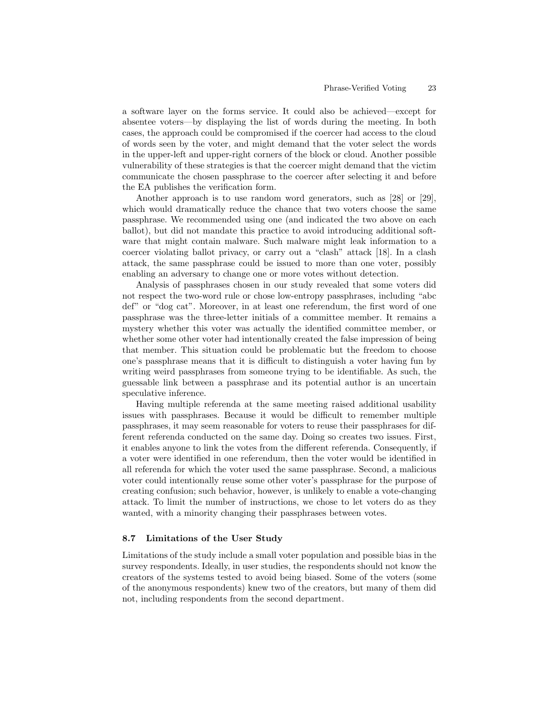a software layer on the forms service. It could also be achieved—except for absentee voters—by displaying the list of words during the meeting. In both cases, the approach could be compromised if the coercer had access to the cloud of words seen by the voter, and might demand that the voter select the words in the upper-left and upper-right corners of the block or cloud. Another possible vulnerability of these strategies is that the coercer might demand that the victim communicate the chosen passphrase to the coercer after selecting it and before the EA publishes the verification form.

Another approach is to use random word generators, such as [28] or [29], which would dramatically reduce the chance that two voters choose the same passphrase. We recommended using one (and indicated the two above on each ballot), but did not mandate this practice to avoid introducing additional software that might contain malware. Such malware might leak information to a coercer violating ballot privacy, or carry out a "clash" attack [18]. In a clash attack, the same passphrase could be issued to more than one voter, possibly enabling an adversary to change one or more votes without detection.

Analysis of passphrases chosen in our study revealed that some voters did not respect the two-word rule or chose low-entropy passphrases, including "abc def" or "dog cat". Moreover, in at least one referendum, the first word of one passphrase was the three-letter initials of a committee member. It remains a mystery whether this voter was actually the identified committee member, or whether some other voter had intentionally created the false impression of being that member. This situation could be problematic but the freedom to choose one's passphrase means that it is difficult to distinguish a voter having fun by writing weird passphrases from someone trying to be identifiable. As such, the guessable link between a passphrase and its potential author is an uncertain speculative inference.

Having multiple referenda at the same meeting raised additional usability issues with passphrases. Because it would be difficult to remember multiple passphrases, it may seem reasonable for voters to reuse their passphrases for different referenda conducted on the same day. Doing so creates two issues. First, it enables anyone to link the votes from the different referenda. Consequently, if a voter were identified in one referendum, then the voter would be identified in all referenda for which the voter used the same passphrase. Second, a malicious voter could intentionally reuse some other voter's passphrase for the purpose of creating confusion; such behavior, however, is unlikely to enable a vote-changing attack. To limit the number of instructions, we chose to let voters do as they wanted, with a minority changing their passphrases between votes.

#### 8.7 Limitations of the User Study

Limitations of the study include a small voter population and possible bias in the survey respondents. Ideally, in user studies, the respondents should not know the creators of the systems tested to avoid being biased. Some of the voters (some of the anonymous respondents) knew two of the creators, but many of them did not, including respondents from the second department.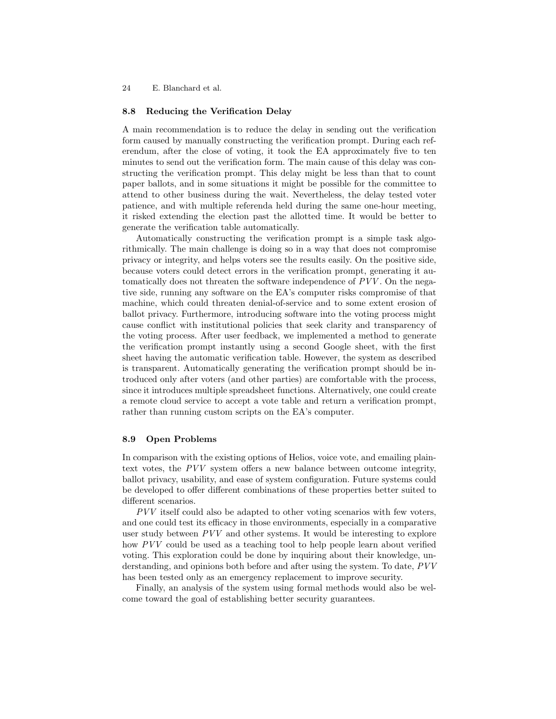### 8.8 Reducing the Verification Delay

A main recommendation is to reduce the delay in sending out the verification form caused by manually constructing the verification prompt. During each referendum, after the close of voting, it took the EA approximately five to ten minutes to send out the verification form. The main cause of this delay was constructing the verification prompt. This delay might be less than that to count paper ballots, and in some situations it might be possible for the committee to attend to other business during the wait. Nevertheless, the delay tested voter patience, and with multiple referenda held during the same one-hour meeting, it risked extending the election past the allotted time. It would be better to generate the verification table automatically.

Automatically constructing the verification prompt is a simple task algorithmically. The main challenge is doing so in a way that does not compromise privacy or integrity, and helps voters see the results easily. On the positive side, because voters could detect errors in the verification prompt, generating it automatically does not threaten the software independence of PVV . On the negative side, running any software on the EA's computer risks compromise of that machine, which could threaten denial-of-service and to some extent erosion of ballot privacy. Furthermore, introducing software into the voting process might cause conflict with institutional policies that seek clarity and transparency of the voting process. After user feedback, we implemented a method to generate the verification prompt instantly using a second Google sheet, with the first sheet having the automatic verification table. However, the system as described is transparent. Automatically generating the verification prompt should be introduced only after voters (and other parties) are comfortable with the process, since it introduces multiple spreadsheet functions. Alternatively, one could create a remote cloud service to accept a vote table and return a verification prompt, rather than running custom scripts on the EA's computer.

### 8.9 Open Problems

In comparison with the existing options of Helios, voice vote, and emailing plaintext votes, the PVV system offers a new balance between outcome integrity, ballot privacy, usability, and ease of system configuration. Future systems could be developed to offer different combinations of these properties better suited to different scenarios.

PVV itself could also be adapted to other voting scenarios with few voters, and one could test its efficacy in those environments, especially in a comparative user study between PVV and other systems. It would be interesting to explore how PVV could be used as a teaching tool to help people learn about verified voting. This exploration could be done by inquiring about their knowledge, understanding, and opinions both before and after using the system. To date, PVV has been tested only as an emergency replacement to improve security.

Finally, an analysis of the system using formal methods would also be welcome toward the goal of establishing better security guarantees.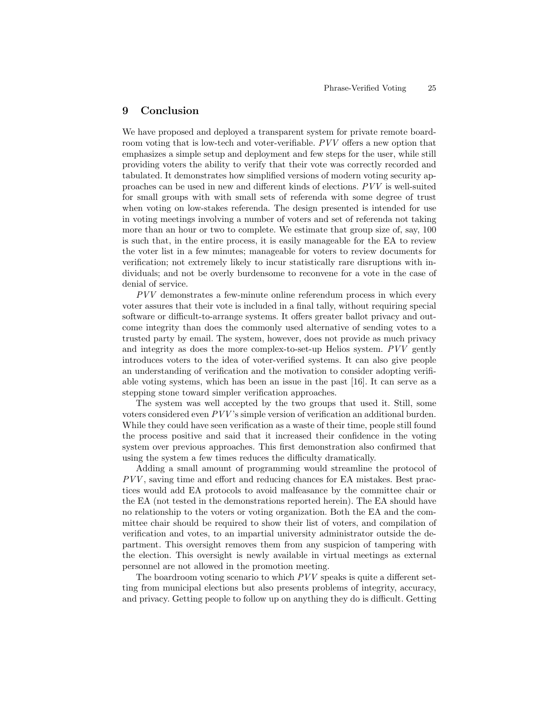# 9 Conclusion

We have proposed and deployed a transparent system for private remote boardroom voting that is low-tech and voter-verifiable. PVV offers a new option that emphasizes a simple setup and deployment and few steps for the user, while still providing voters the ability to verify that their vote was correctly recorded and tabulated. It demonstrates how simplified versions of modern voting security approaches can be used in new and different kinds of elections. PVV is well-suited for small groups with with small sets of referenda with some degree of trust when voting on low-stakes referenda. The design presented is intended for use in voting meetings involving a number of voters and set of referenda not taking more than an hour or two to complete. We estimate that group size of, say, 100 is such that, in the entire process, it is easily manageable for the EA to review the voter list in a few minutes; manageable for voters to review documents for verification; not extremely likely to incur statistically rare disruptions with individuals; and not be overly burdensome to reconvene for a vote in the case of denial of service.

PVV demonstrates a few-minute online referendum process in which every voter assures that their vote is included in a final tally, without requiring special software or difficult-to-arrange systems. It offers greater ballot privacy and outcome integrity than does the commonly used alternative of sending votes to a trusted party by email. The system, however, does not provide as much privacy and integrity as does the more complex-to-set-up Helios system. PVV gently introduces voters to the idea of voter-verified systems. It can also give people an understanding of verification and the motivation to consider adopting verifiable voting systems, which has been an issue in the past [16]. It can serve as a stepping stone toward simpler verification approaches.

The system was well accepted by the two groups that used it. Still, some voters considered even PVV 's simple version of verification an additional burden. While they could have seen verification as a waste of their time, people still found the process positive and said that it increased their confidence in the voting system over previous approaches. This first demonstration also confirmed that using the system a few times reduces the difficulty dramatically.

Adding a small amount of programming would streamline the protocol of PVV , saving time and effort and reducing chances for EA mistakes. Best practices would add EA protocols to avoid malfeasance by the committee chair or the EA (not tested in the demonstrations reported herein). The EA should have no relationship to the voters or voting organization. Both the EA and the committee chair should be required to show their list of voters, and compilation of verification and votes, to an impartial university administrator outside the department. This oversight removes them from any suspicion of tampering with the election. This oversight is newly available in virtual meetings as external personnel are not allowed in the promotion meeting.

The boardroom voting scenario to which PVV speaks is quite a different setting from municipal elections but also presents problems of integrity, accuracy, and privacy. Getting people to follow up on anything they do is difficult. Getting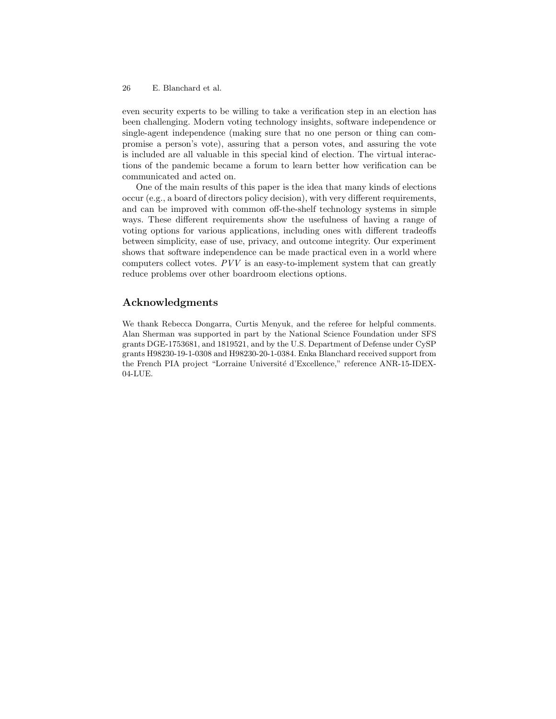even security experts to be willing to take a verification step in an election has been challenging. Modern voting technology insights, software independence or single-agent independence (making sure that no one person or thing can compromise a person's vote), assuring that a person votes, and assuring the vote is included are all valuable in this special kind of election. The virtual interactions of the pandemic became a forum to learn better how verification can be communicated and acted on.

One of the main results of this paper is the idea that many kinds of elections occur (e.g., a board of directors policy decision), with very different requirements, and can be improved with common off-the-shelf technology systems in simple ways. These different requirements show the usefulness of having a range of voting options for various applications, including ones with different tradeoffs between simplicity, ease of use, privacy, and outcome integrity. Our experiment shows that software independence can be made practical even in a world where computers collect votes.  $PVV$  is an easy-to-implement system that can greatly reduce problems over other boardroom elections options.

# Acknowledgments

We thank Rebecca Dongarra, Curtis Menyuk, and the referee for helpful comments. Alan Sherman was supported in part by the National Science Foundation under SFS grants DGE-1753681, and 1819521, and by the U.S. Department of Defense under CySP grants H98230-19-1-0308 and H98230-20-1-0384. Enka Blanchard received support from the French PIA project "Lorraine Université d'Excellence," reference ANR-15-IDEX-04-LUE.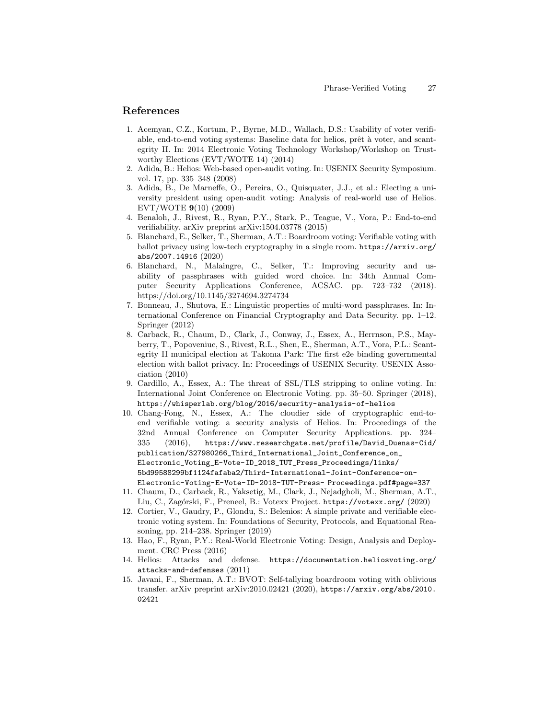# References

- 1. Acemyan, C.Z., Kortum, P., Byrne, M.D., Wallach, D.S.: Usability of voter verifiable, end-to-end voting systems: Baseline data for helios, prêt à voter, and scantegrity II. In: 2014 Electronic Voting Technology Workshop/Workshop on Trustworthy Elections (EVT/WOTE 14) (2014)
- 2. Adida, B.: Helios: Web-based open-audit voting. In: USENIX Security Symposium. vol. 17, pp. 335–348 (2008)
- 3. Adida, B., De Marneffe, O., Pereira, O., Quisquater, J.J., et al.: Electing a university president using open-audit voting: Analysis of real-world use of Helios. EVT/WOTE 9(10) (2009)
- 4. Benaloh, J., Rivest, R., Ryan, P.Y., Stark, P., Teague, V., Vora, P.: End-to-end verifiability. arXiv preprint arXiv:1504.03778 (2015)
- 5. Blanchard, E., Selker, T., Sherman, A.T.: Boardroom voting: Verifiable voting with ballot privacy using low-tech cryptography in a single room. https://arxiv.org/ abs/2007.14916 (2020)
- 6. Blanchard, N., Malaingre, C., Selker, T.: Improving security and usability of passphrases with guided word choice. In: 34th Annual Computer Security Applications Conference, ACSAC. pp. 723–732 (2018). https://doi.org/10.1145/3274694.3274734
- 7. Bonneau, J., Shutova, E.: Linguistic properties of multi-word passphrases. In: International Conference on Financial Cryptography and Data Security. pp. 1–12. Springer (2012)
- 8. Carback, R., Chaum, D., Clark, J., Conway, J., Essex, A., Herrnson, P.S., Mayberry, T., Popoveniuc, S., Rivest, R.L., Shen, E., Sherman, A.T., Vora, P.L.: Scantegrity II municipal election at Takoma Park: The first e2e binding governmental election with ballot privacy. In: Proceedings of USENIX Security. USENIX Association (2010)
- 9. Cardillo, A., Essex, A.: The threat of SSL/TLS stripping to online voting. In: International Joint Conference on Electronic Voting. pp. 35–50. Springer (2018), https://whisperlab.org/blog/2016/security-analysis-of-helios
- 10. Chang-Fong, N., Essex, A.: The cloudier side of cryptographic end-toend verifiable voting: a security analysis of Helios. In: Proceedings of the 32nd Annual Conference on Computer Security Applications. pp. 324– 335 (2016), https://www.researchgate.net/profile/David\_Duenas-Cid/ publication/327980266\_Third\_International\_Joint\_Conference\_on\_ Electronic\_Voting\_E-Vote-ID\_2018\_TUT\_Press\_Proceedings/links/ 5bd99588299bf1124fafaba2/Third-International-Joint-Conference-on-Electronic-Voting-E-Vote-ID-2018-TUT-Press- Proceedings.pdf#page=337
- 11. Chaum, D., Carback, R., Yaksetig, M., Clark, J., Nejadgholi, M., Sherman, A.T., Liu, C., Zagórski, F., Preneel, B.: Votexx Project. https://votexx.org/ (2020)
- 12. Cortier, V., Gaudry, P., Glondu, S.: Belenios: A simple private and verifiable electronic voting system. In: Foundations of Security, Protocols, and Equational Reasoning, pp. 214–238. Springer (2019)
- 13. Hao, F., Ryan, P.Y.: Real-World Electronic Voting: Design, Analysis and Deployment. CRC Press (2016)
- 14. Helios: Attacks and defense. https://documentation.heliosvoting.org/ attacks-and-defenses (2011)
- 15. Javani, F., Sherman, A.T.: BVOT: Self-tallying boardroom voting with oblivious transfer. arXiv preprint arXiv:2010.02421 (2020), https://arxiv.org/abs/2010. 02421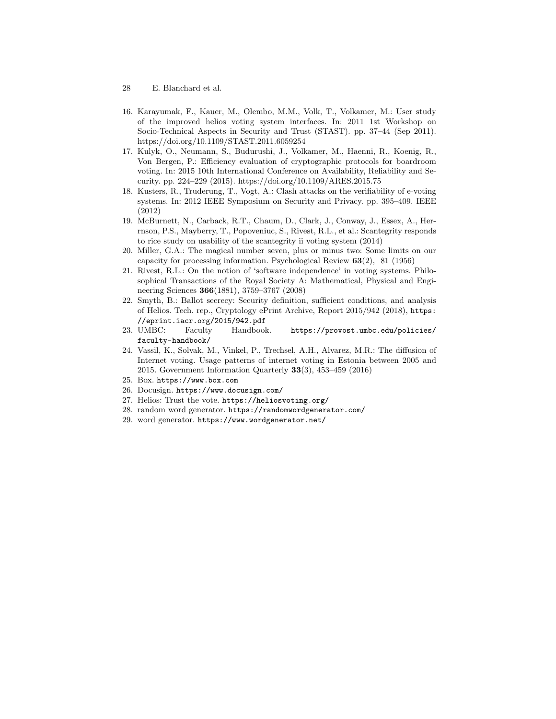- 28 E. Blanchard et al.
- 16. Karayumak, F., Kauer, M., Olembo, M.M., Volk, T., Volkamer, M.: User study of the improved helios voting system interfaces. In: 2011 1st Workshop on Socio-Technical Aspects in Security and Trust (STAST). pp. 37–44 (Sep 2011). https://doi.org/10.1109/STAST.2011.6059254
- 17. Kulyk, O., Neumann, S., Budurushi, J., Volkamer, M., Haenni, R., Koenig, R., Von Bergen, P.: Efficiency evaluation of cryptographic protocols for boardroom voting. In: 2015 10th International Conference on Availability, Reliability and Security. pp. 224–229 (2015). https://doi.org/10.1109/ARES.2015.75
- 18. Kusters, R., Truderung, T., Vogt, A.: Clash attacks on the verifiability of e-voting systems. In: 2012 IEEE Symposium on Security and Privacy. pp. 395–409. IEEE (2012)
- 19. McBurnett, N., Carback, R.T., Chaum, D., Clark, J., Conway, J., Essex, A., Herrnson, P.S., Mayberry, T., Popoveniuc, S., Rivest, R.L., et al.: Scantegrity responds to rice study on usability of the scantegrity ii voting system (2014)
- 20. Miller, G.A.: The magical number seven, plus or minus two: Some limits on our capacity for processing information. Psychological Review 63(2), 81 (1956)
- 21. Rivest, R.L.: On the notion of 'software independence' in voting systems. Philosophical Transactions of the Royal Society A: Mathematical, Physical and Engineering Sciences 366(1881), 3759–3767 (2008)
- 22. Smyth, B.: Ballot secrecy: Security definition, sufficient conditions, and analysis of Helios. Tech. rep., Cryptology ePrint Archive, Report 2015/942 (2018), https: //eprint.iacr.org/2015/942.pdf
- 23. UMBC: Faculty Handbook. https://provost.umbc.edu/policies/ faculty-handbook/
- 24. Vassil, K., Solvak, M., Vinkel, P., Trechsel, A.H., Alvarez, M.R.: The diffusion of Internet voting. Usage patterns of internet voting in Estonia between 2005 and 2015. Government Information Quarterly 33(3), 453–459 (2016)
- 25. Box. https://www.box.com
- 26. Docusign. https://www.docusign.com/
- 27. Helios: Trust the vote. https://heliosvoting.org/
- 28. random word generator. https://randomwordgenerator.com/
- 29. word generator. https://www.wordgenerator.net/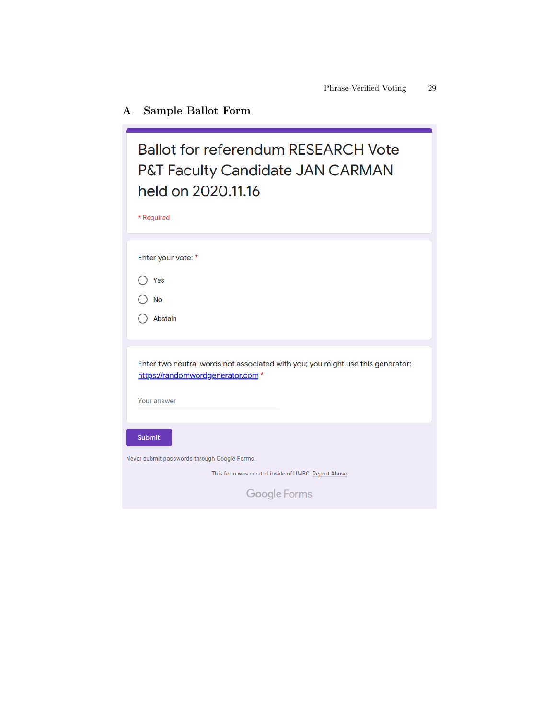# A Sample Ballot Form

| <b>Ballot for referendum RESEARCH Vote</b><br><b>P&amp;T Faculty Candidate JAN CARMAN</b><br>held on 2020.11.16<br>* Required |  |  |  |  |
|-------------------------------------------------------------------------------------------------------------------------------|--|--|--|--|
| Enter your vote: *                                                                                                            |  |  |  |  |
| Yes                                                                                                                           |  |  |  |  |
| <b>No</b>                                                                                                                     |  |  |  |  |
| <b>Abstain</b>                                                                                                                |  |  |  |  |
|                                                                                                                               |  |  |  |  |
| Enter two neutral words not associated with you; you might use this generator:<br>https://randomwordgenerator.com *           |  |  |  |  |
| Your answer                                                                                                                   |  |  |  |  |
|                                                                                                                               |  |  |  |  |
| <b>Submit</b>                                                                                                                 |  |  |  |  |
| Vever submit passwords through Google Forms.                                                                                  |  |  |  |  |
| This form was created inside of UMBC. Report Abuse                                                                            |  |  |  |  |
| Google Forms                                                                                                                  |  |  |  |  |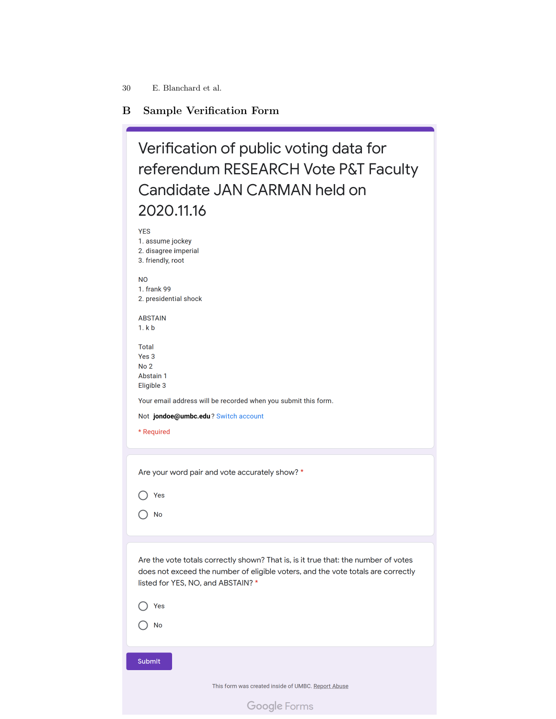# B Sample Verification Form

| Verification of public voting data for<br>referendum RESEARCH Vote P&T Faculty<br>Candidate JAN CARMAN held on<br>2020.11.16                                                                                 |
|--------------------------------------------------------------------------------------------------------------------------------------------------------------------------------------------------------------|
| <b>YES</b><br>1. assume jockey<br>2. disagree imperial<br>3. friendly, root                                                                                                                                  |
| N <sub>O</sub><br>1. frank 99<br>2. presidential shock                                                                                                                                                       |
| <b>ABSTAIN</b><br>1. k b                                                                                                                                                                                     |
| <b>Total</b><br>Yes <sub>3</sub><br>No <sub>2</sub><br>Abstain 1<br>Eligible 3                                                                                                                               |
| Your email address will be recorded when you submit this form.                                                                                                                                               |
| Not jondoe@umbc.edu? Switch account                                                                                                                                                                          |
| * Required                                                                                                                                                                                                   |
|                                                                                                                                                                                                              |
| Are your word pair and vote accurately show? *                                                                                                                                                               |
| Yes                                                                                                                                                                                                          |
| No                                                                                                                                                                                                           |
|                                                                                                                                                                                                              |
| Are the vote totals correctly shown? That is, is it true that: the number of votes<br>does not exceed the number of eligible voters, and the vote totals are correctly<br>listed for YES, NO, and ABSTAIN? * |
| Yes                                                                                                                                                                                                          |
| No                                                                                                                                                                                                           |
|                                                                                                                                                                                                              |

Submit

This form was created inside of UMBC. Report Abuse

Google Forms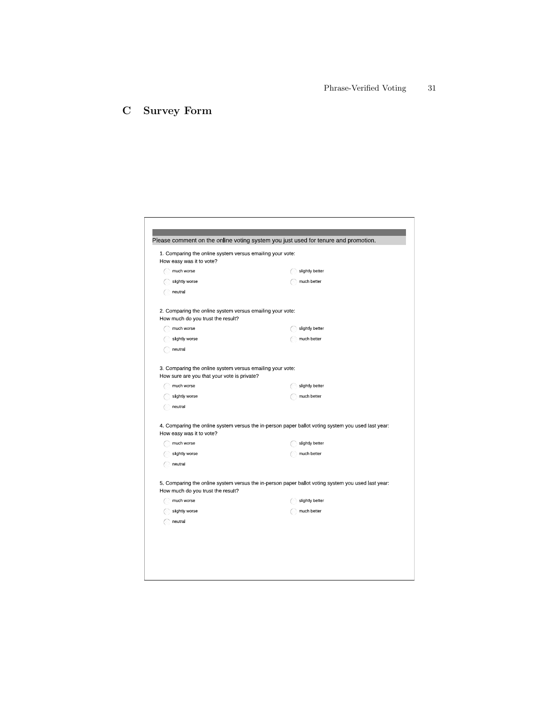# C Survey Form

| 1. Comparing the online system versus emailing your vote:<br>How easy was it to vote?                    |                                                                                                    |
|----------------------------------------------------------------------------------------------------------|----------------------------------------------------------------------------------------------------|
| much worse                                                                                               | slightly better                                                                                    |
| slightly worse                                                                                           | much better                                                                                        |
| neutral                                                                                                  |                                                                                                    |
| 2. Comparing the online system versus emailing your vote:<br>How much do you trust the result?           |                                                                                                    |
| much worse                                                                                               | slightly better                                                                                    |
| slightly worse                                                                                           | much better                                                                                        |
| neutral                                                                                                  |                                                                                                    |
| 3. Comparing the online system versus emailing your vote:<br>How sure are you that your vote is private? |                                                                                                    |
| much worse                                                                                               | slightly better                                                                                    |
| slightly worse                                                                                           | much better                                                                                        |
| neutral                                                                                                  |                                                                                                    |
| How easy was it to vote?                                                                                 | 4. Comparing the online system versus the in-person paper ballot voting system you used last year: |
| much worse                                                                                               | slightly better                                                                                    |
| slightly worse                                                                                           | much better                                                                                        |
| neutra                                                                                                   |                                                                                                    |
| How much do you trust the result?                                                                        | 5. Comparing the online system versus the in-person paper ballot voting system you used last year: |
| much worse                                                                                               | slightly better                                                                                    |
| slightly worse                                                                                           | much better                                                                                        |
| neutral                                                                                                  |                                                                                                    |
|                                                                                                          |                                                                                                    |
|                                                                                                          |                                                                                                    |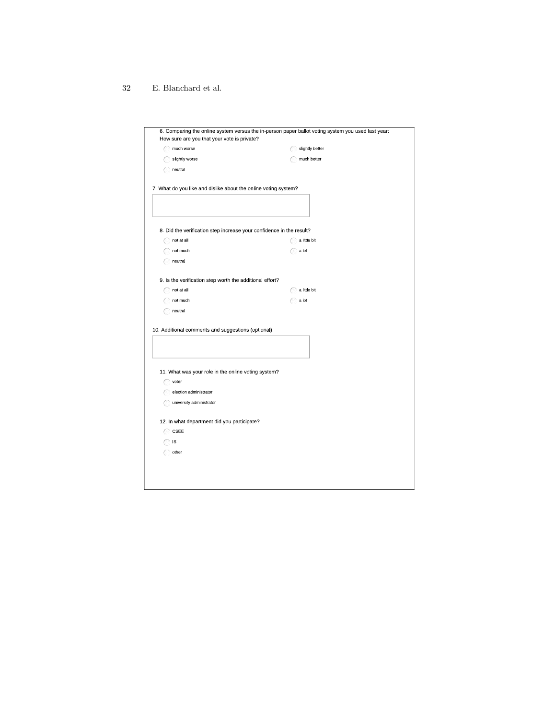| How sure are you that your vote is private?                          | 6. Comparing the online system versus the in-person paper ballot voting system you used last year: |  |  |
|----------------------------------------------------------------------|----------------------------------------------------------------------------------------------------|--|--|
| much worse                                                           | slightly better                                                                                    |  |  |
| slightly worse                                                       | much better                                                                                        |  |  |
| neutral                                                              |                                                                                                    |  |  |
| 7. What do you like and dislike about the online voting system?      |                                                                                                    |  |  |
|                                                                      |                                                                                                    |  |  |
| 8. Did the verification step increase your confidence in the result? |                                                                                                    |  |  |
| not at all                                                           | a little bit                                                                                       |  |  |
| not much                                                             | a ot                                                                                               |  |  |
| neutral                                                              |                                                                                                    |  |  |
| 9. Is the verification step worth the additional effort?             |                                                                                                    |  |  |
| not at all                                                           | a little bit                                                                                       |  |  |
| not much                                                             | a ot                                                                                               |  |  |
| neutral                                                              |                                                                                                    |  |  |
|                                                                      |                                                                                                    |  |  |
| 10. Additional comments and suggestions (optional).                  |                                                                                                    |  |  |
|                                                                      |                                                                                                    |  |  |
|                                                                      |                                                                                                    |  |  |
|                                                                      |                                                                                                    |  |  |
| 11 What was your role in the online voting system?                   |                                                                                                    |  |  |
| voter                                                                |                                                                                                    |  |  |
| election administrator                                               |                                                                                                    |  |  |
| university administrator                                             |                                                                                                    |  |  |
| 12. In what department did you participate?                          |                                                                                                    |  |  |
| CSEE                                                                 |                                                                                                    |  |  |
| IS                                                                   |                                                                                                    |  |  |
| other                                                                |                                                                                                    |  |  |
|                                                                      |                                                                                                    |  |  |
|                                                                      |                                                                                                    |  |  |